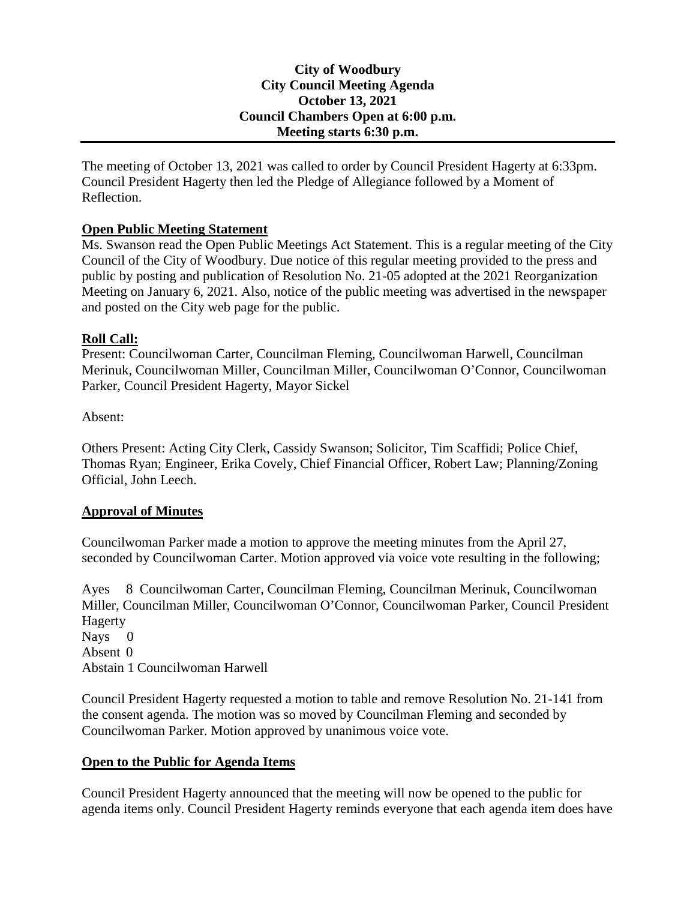## **City of Woodbury City Council Meeting Agenda October 13, 2021 Council Chambers Open at 6:00 p.m. Meeting starts 6:30 p.m.**

The meeting of October 13, 2021 was called to order by Council President Hagerty at 6:33pm. Council President Hagerty then led the Pledge of Allegiance followed by a Moment of Reflection.

# **Open Public Meeting Statement**

Ms. Swanson read the Open Public Meetings Act Statement. This is a regular meeting of the City Council of the City of Woodbury. Due notice of this regular meeting provided to the press and public by posting and publication of Resolution No. 21-05 adopted at the 2021 Reorganization Meeting on January 6, 2021. Also, notice of the public meeting was advertised in the newspaper and posted on the City web page for the public.

### **Roll Call:**

Present: Councilwoman Carter, Councilman Fleming, Councilwoman Harwell, Councilman Merinuk, Councilwoman Miller, Councilman Miller, Councilwoman O'Connor, Councilwoman Parker, Council President Hagerty, Mayor Sickel

Absent:

Others Present: Acting City Clerk, Cassidy Swanson; Solicitor, Tim Scaffidi; Police Chief, Thomas Ryan; Engineer, Erika Covely, Chief Financial Officer, Robert Law; Planning/Zoning Official, John Leech.

# **Approval of Minutes**

Councilwoman Parker made a motion to approve the meeting minutes from the April 27, seconded by Councilwoman Carter. Motion approved via voice vote resulting in the following;

Ayes 8 Councilwoman Carter, Councilman Fleming, Councilman Merinuk, Councilwoman Miller, Councilman Miller, Councilwoman O'Connor, Councilwoman Parker, Council President Hagerty Navs 0 Absent 0 Abstain 1 Councilwoman Harwell

Council President Hagerty requested a motion to table and remove Resolution No. 21-141 from the consent agenda. The motion was so moved by Councilman Fleming and seconded by Councilwoman Parker. Motion approved by unanimous voice vote.

# **Open to the Public for Agenda Items**

Council President Hagerty announced that the meeting will now be opened to the public for agenda items only. Council President Hagerty reminds everyone that each agenda item does have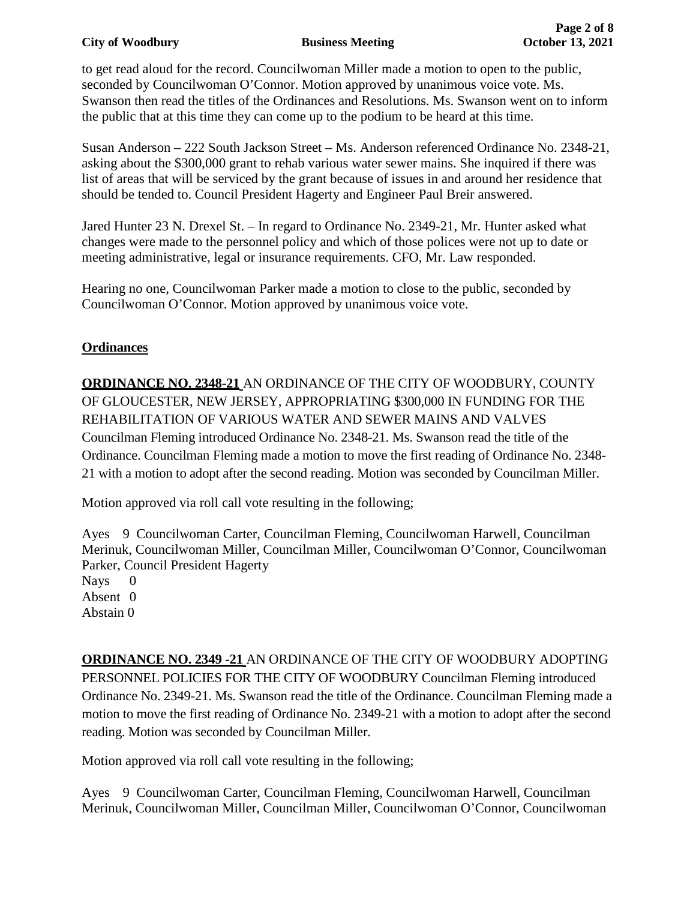### **City of Woodbury Business Meeting October 13, 2021**

to get read aloud for the record. Councilwoman Miller made a motion to open to the public, seconded by Councilwoman O'Connor. Motion approved by unanimous voice vote. Ms. Swanson then read the titles of the Ordinances and Resolutions. Ms. Swanson went on to inform the public that at this time they can come up to the podium to be heard at this time.

Susan Anderson – 222 South Jackson Street – Ms. Anderson referenced Ordinance No. 2348-21, asking about the \$300,000 grant to rehab various water sewer mains. She inquired if there was list of areas that will be serviced by the grant because of issues in and around her residence that should be tended to. Council President Hagerty and Engineer Paul Breir answered.

Jared Hunter 23 N. Drexel St. – In regard to Ordinance No. 2349-21, Mr. Hunter asked what changes were made to the personnel policy and which of those polices were not up to date or meeting administrative, legal or insurance requirements. CFO, Mr. Law responded.

Hearing no one, Councilwoman Parker made a motion to close to the public, seconded by Councilwoman O'Connor. Motion approved by unanimous voice vote.

# **Ordinances**

**ORDINANCE NO. 2348-21** AN ORDINANCE OF THE CITY OF WOODBURY, COUNTY OF GLOUCESTER, NEW JERSEY, APPROPRIATING \$300,000 IN FUNDING FOR THE REHABILITATION OF VARIOUS WATER AND SEWER MAINS AND VALVES Councilman Fleming introduced Ordinance No. 2348-21. Ms. Swanson read the title of the Ordinance. Councilman Fleming made a motion to move the first reading of Ordinance No. 2348- 21 with a motion to adopt after the second reading. Motion was seconded by Councilman Miller.

Motion approved via roll call vote resulting in the following;

Ayes 9 Councilwoman Carter, Councilman Fleming, Councilwoman Harwell, Councilman Merinuk, Councilwoman Miller, Councilman Miller, Councilwoman O'Connor, Councilwoman Parker, Council President Hagerty Nays 0 Absent 0 Abstain 0

**ORDINANCE NO. 2349 -21** AN ORDINANCE OF THE CITY OF WOODBURY ADOPTING PERSONNEL POLICIES FOR THE CITY OF WOODBURY Councilman Fleming introduced Ordinance No. 2349-21. Ms. Swanson read the title of the Ordinance. Councilman Fleming made a motion to move the first reading of Ordinance No. 2349-21 with a motion to adopt after the second reading. Motion was seconded by Councilman Miller.

Motion approved via roll call vote resulting in the following;

Ayes 9 Councilwoman Carter, Councilman Fleming, Councilwoman Harwell, Councilman Merinuk, Councilwoman Miller, Councilman Miller, Councilwoman O'Connor, Councilwoman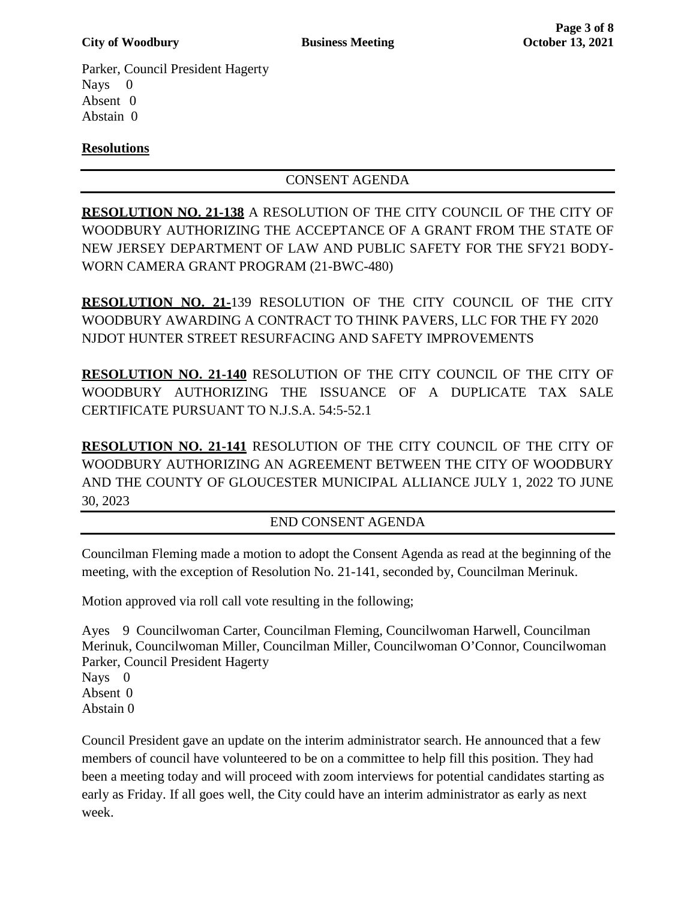Parker, Council President Hagerty Nays 0 Absent 0 Abstain 0

# **Resolutions**

CONSENT AGENDA

**RESOLUTION NO. 21-138** A RESOLUTION OF THE CITY COUNCIL OF THE CITY OF WOODBURY AUTHORIZING THE ACCEPTANCE OF A GRANT FROM THE STATE OF NEW JERSEY DEPARTMENT OF LAW AND PUBLIC SAFETY FOR THE SFY21 BODY-WORN CAMERA GRANT PROGRAM (21-BWC-480)

**RESOLUTION NO. 21-**139 RESOLUTION OF THE CITY COUNCIL OF THE CITY WOODBURY AWARDING A CONTRACT TO THINK PAVERS, LLC FOR THE FY 2020 NJDOT HUNTER STREET RESURFACING AND SAFETY IMPROVEMENTS

**RESOLUTION NO. 21-140** RESOLUTION OF THE CITY COUNCIL OF THE CITY OF WOODBURY AUTHORIZING THE ISSUANCE OF A DUPLICATE TAX SALE CERTIFICATE PURSUANT TO N.J.S.A. 54:5-52.1

**RESOLUTION NO. 21-141** RESOLUTION OF THE CITY COUNCIL OF THE CITY OF WOODBURY AUTHORIZING AN AGREEMENT BETWEEN THE CITY OF WOODBURY AND THE COUNTY OF GLOUCESTER MUNICIPAL ALLIANCE JULY 1, 2022 TO JUNE 30, 2023

# END CONSENT AGENDA

Councilman Fleming made a motion to adopt the Consent Agenda as read at the beginning of the meeting, with the exception of Resolution No. 21-141, seconded by, Councilman Merinuk.

Motion approved via roll call vote resulting in the following;

Ayes 9 Councilwoman Carter, Councilman Fleming, Councilwoman Harwell, Councilman Merinuk, Councilwoman Miller, Councilman Miller, Councilwoman O'Connor, Councilwoman Parker, Council President Hagerty Nays 0 Absent 0 Abstain 0

Council President gave an update on the interim administrator search. He announced that a few members of council have volunteered to be on a committee to help fill this position. They had been a meeting today and will proceed with zoom interviews for potential candidates starting as early as Friday. If all goes well, the City could have an interim administrator as early as next week.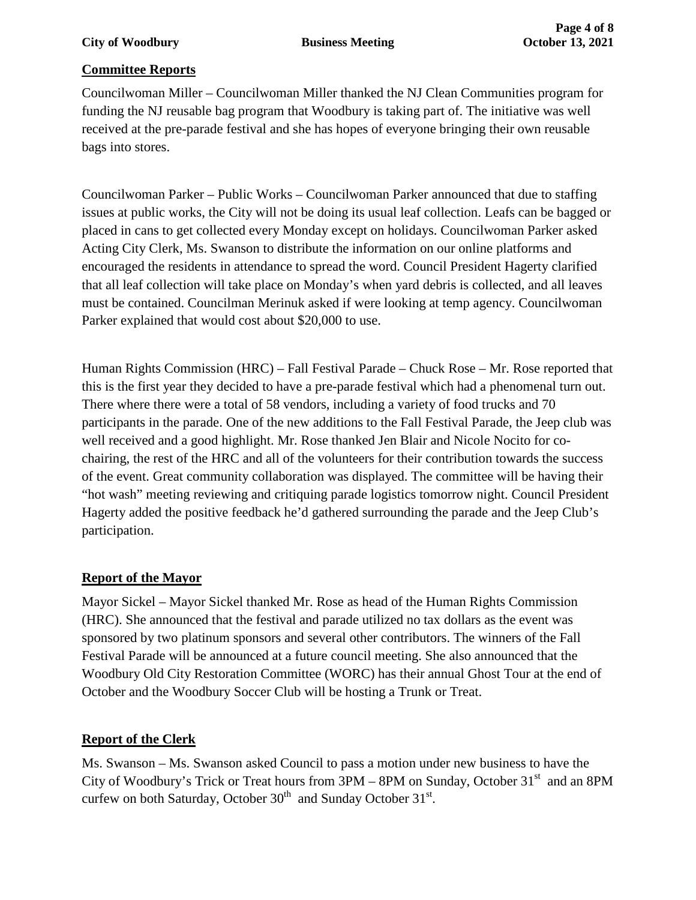## **Committee Reports**

Councilwoman Miller – Councilwoman Miller thanked the NJ Clean Communities program for funding the NJ reusable bag program that Woodbury is taking part of. The initiative was well received at the pre-parade festival and she has hopes of everyone bringing their own reusable bags into stores.

Councilwoman Parker – Public Works – Councilwoman Parker announced that due to staffing issues at public works, the City will not be doing its usual leaf collection. Leafs can be bagged or placed in cans to get collected every Monday except on holidays. Councilwoman Parker asked Acting City Clerk, Ms. Swanson to distribute the information on our online platforms and encouraged the residents in attendance to spread the word. Council President Hagerty clarified that all leaf collection will take place on Monday's when yard debris is collected, and all leaves must be contained. Councilman Merinuk asked if were looking at temp agency. Councilwoman Parker explained that would cost about \$20,000 to use.

Human Rights Commission (HRC) – Fall Festival Parade – Chuck Rose – Mr. Rose reported that this is the first year they decided to have a pre-parade festival which had a phenomenal turn out. There where there were a total of 58 vendors, including a variety of food trucks and 70 participants in the parade. One of the new additions to the Fall Festival Parade, the Jeep club was well received and a good highlight. Mr. Rose thanked Jen Blair and Nicole Nocito for cochairing, the rest of the HRC and all of the volunteers for their contribution towards the success of the event. Great community collaboration was displayed. The committee will be having their "hot wash" meeting reviewing and critiquing parade logistics tomorrow night. Council President Hagerty added the positive feedback he'd gathered surrounding the parade and the Jeep Club's participation.

# **Report of the Mayor**

Mayor Sickel – Mayor Sickel thanked Mr. Rose as head of the Human Rights Commission (HRC). She announced that the festival and parade utilized no tax dollars as the event was sponsored by two platinum sponsors and several other contributors. The winners of the Fall Festival Parade will be announced at a future council meeting. She also announced that the Woodbury Old City Restoration Committee (WORC) has their annual Ghost Tour at the end of October and the Woodbury Soccer Club will be hosting a Trunk or Treat.

# **Report of the Clerk**

Ms. Swanson – Ms. Swanson asked Council to pass a motion under new business to have the City of Woodbury's Trick or Treat hours from  $3PM - 8PM$  on Sunday, October  $31<sup>st</sup>$  and an 8PM curfew on both Saturday, October  $30<sup>th</sup>$  and Sunday October  $31<sup>st</sup>$ .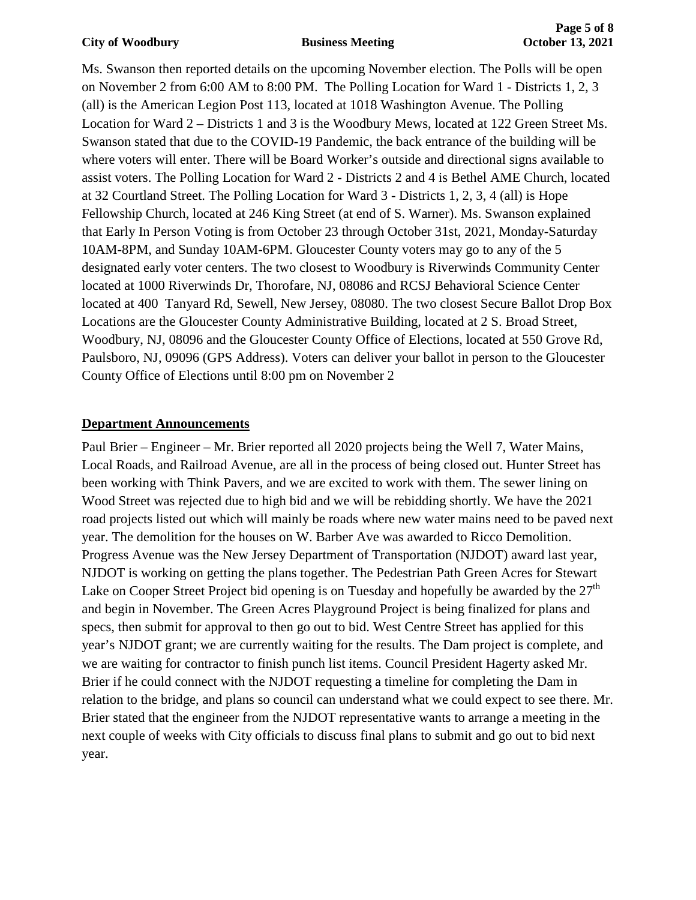#### **City of Woodbury Business Meeting October 13, 2021**

Ms. Swanson then reported details on the upcoming November election. The Polls will be open on November 2 from 6:00 AM to 8:00 PM. The Polling Location for Ward 1 - Districts 1, 2, 3 (all) is the American Legion Post 113, located at 1018 Washington Avenue. The Polling Location for Ward 2 – Districts 1 and 3 is the Woodbury Mews, located at 122 Green Street Ms. Swanson stated that due to the COVID-19 Pandemic, the back entrance of the building will be where voters will enter. There will be Board Worker's outside and directional signs available to assist voters. The Polling Location for Ward 2 - Districts 2 and 4 is Bethel AME Church, located at 32 Courtland Street. The Polling Location for Ward 3 - Districts 1, 2, 3, 4 (all) is Hope Fellowship Church, located at 246 King Street (at end of S. Warner). Ms. Swanson explained that Early In Person Voting is from October 23 through October 31st, 2021, Monday-Saturday 10AM-8PM, and Sunday 10AM-6PM. Gloucester County voters may go to any of the 5 designated early voter centers. The two closest to Woodbury is Riverwinds Community Center located at 1000 Riverwinds Dr, Thorofare, NJ, 08086 and RCSJ Behavioral Science Center located at 400 Tanyard Rd, Sewell, New Jersey, 08080. The two closest Secure Ballot Drop Box Locations are the Gloucester County Administrative Building, located at 2 S. Broad Street, Woodbury, NJ, 08096 and the Gloucester County Office of Elections, located at 550 Grove Rd, Paulsboro, NJ, 09096 (GPS Address). Voters can deliver your ballot in person to the Gloucester County Office of Elections until 8:00 pm on November 2

## **Department Announcements**

Paul Brier – Engineer – Mr. Brier reported all 2020 projects being the Well 7, Water Mains, Local Roads, and Railroad Avenue, are all in the process of being closed out. Hunter Street has been working with Think Pavers, and we are excited to work with them. The sewer lining on Wood Street was rejected due to high bid and we will be rebidding shortly. We have the 2021 road projects listed out which will mainly be roads where new water mains need to be paved next year. The demolition for the houses on W. Barber Ave was awarded to Ricco Demolition. Progress Avenue was the New Jersey Department of Transportation (NJDOT) award last year, NJDOT is working on getting the plans together. The Pedestrian Path Green Acres for Stewart Lake on Cooper Street Project bid opening is on Tuesday and hopefully be awarded by the  $27<sup>th</sup>$ and begin in November. The Green Acres Playground Project is being finalized for plans and specs, then submit for approval to then go out to bid. West Centre Street has applied for this year's NJDOT grant; we are currently waiting for the results. The Dam project is complete, and we are waiting for contractor to finish punch list items. Council President Hagerty asked Mr. Brier if he could connect with the NJDOT requesting a timeline for completing the Dam in relation to the bridge, and plans so council can understand what we could expect to see there. Mr. Brier stated that the engineer from the NJDOT representative wants to arrange a meeting in the next couple of weeks with City officials to discuss final plans to submit and go out to bid next year.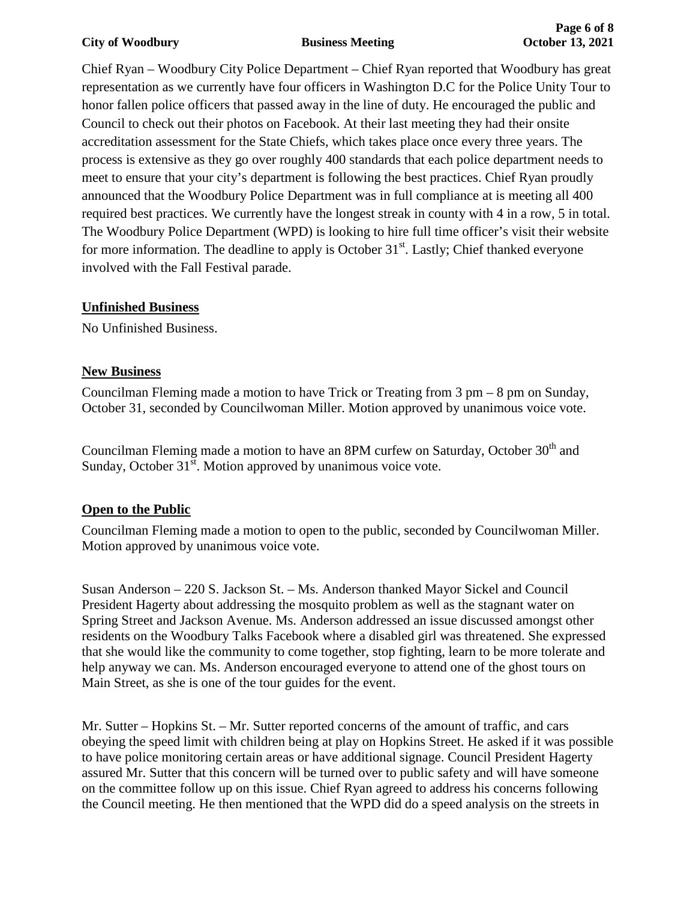#### **City of Woodbury Business Meeting October 13, 2021**

Chief Ryan – Woodbury City Police Department – Chief Ryan reported that Woodbury has great representation as we currently have four officers in Washington D.C for the Police Unity Tour to honor fallen police officers that passed away in the line of duty. He encouraged the public and Council to check out their photos on Facebook. At their last meeting they had their onsite accreditation assessment for the State Chiefs, which takes place once every three years. The process is extensive as they go over roughly 400 standards that each police department needs to meet to ensure that your city's department is following the best practices. Chief Ryan proudly announced that the Woodbury Police Department was in full compliance at is meeting all 400 required best practices. We currently have the longest streak in county with 4 in a row, 5 in total. The Woodbury Police Department (WPD) is looking to hire full time officer's visit their website for more information. The deadline to apply is October  $31<sup>st</sup>$ . Lastly; Chief thanked everyone involved with the Fall Festival parade.

## **Unfinished Business**

No Unfinished Business.

## **New Business**

Councilman Fleming made a motion to have Trick or Treating from  $3 \text{ pm} - 8 \text{ pm}$  on Sunday, October 31, seconded by Councilwoman Miller. Motion approved by unanimous voice vote.

Councilman Fleming made a motion to have an 8PM curfew on Saturday, October  $30<sup>th</sup>$  and Sunday, October  $31<sup>st</sup>$ . Motion approved by unanimous voice vote.

# **Open to the Public**

Councilman Fleming made a motion to open to the public, seconded by Councilwoman Miller. Motion approved by unanimous voice vote.

Susan Anderson – 220 S. Jackson St. – Ms. Anderson thanked Mayor Sickel and Council President Hagerty about addressing the mosquito problem as well as the stagnant water on Spring Street and Jackson Avenue. Ms. Anderson addressed an issue discussed amongst other residents on the Woodbury Talks Facebook where a disabled girl was threatened. She expressed that she would like the community to come together, stop fighting, learn to be more tolerate and help anyway we can. Ms. Anderson encouraged everyone to attend one of the ghost tours on Main Street, as she is one of the tour guides for the event.

Mr. Sutter – Hopkins St. – Mr. Sutter reported concerns of the amount of traffic, and cars obeying the speed limit with children being at play on Hopkins Street. He asked if it was possible to have police monitoring certain areas or have additional signage. Council President Hagerty assured Mr. Sutter that this concern will be turned over to public safety and will have someone on the committee follow up on this issue. Chief Ryan agreed to address his concerns following the Council meeting. He then mentioned that the WPD did do a speed analysis on the streets in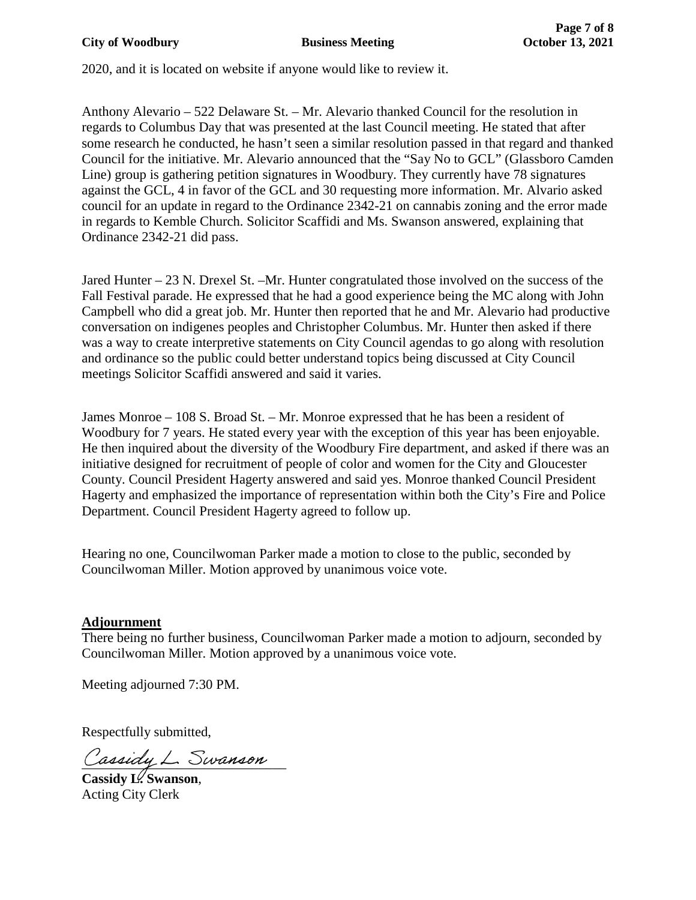2020, and it is located on website if anyone would like to review it.

Anthony Alevario – 522 Delaware St. – Mr. Alevario thanked Council for the resolution in regards to Columbus Day that was presented at the last Council meeting. He stated that after some research he conducted, he hasn't seen a similar resolution passed in that regard and thanked Council for the initiative. Mr. Alevario announced that the "Say No to GCL" (Glassboro Camden Line) group is gathering petition signatures in Woodbury. They currently have 78 signatures against the GCL, 4 in favor of the GCL and 30 requesting more information. Mr. Alvario asked council for an update in regard to the Ordinance 2342-21 on cannabis zoning and the error made in regards to Kemble Church. Solicitor Scaffidi and Ms. Swanson answered, explaining that Ordinance 2342-21 did pass.

Jared Hunter – 23 N. Drexel St. –Mr. Hunter congratulated those involved on the success of the Fall Festival parade. He expressed that he had a good experience being the MC along with John Campbell who did a great job. Mr. Hunter then reported that he and Mr. Alevario had productive conversation on indigenes peoples and Christopher Columbus. Mr. Hunter then asked if there was a way to create interpretive statements on City Council agendas to go along with resolution and ordinance so the public could better understand topics being discussed at City Council meetings Solicitor Scaffidi answered and said it varies.

James Monroe – 108 S. Broad St. – Mr. Monroe expressed that he has been a resident of Woodbury for 7 years. He stated every year with the exception of this year has been enjoyable. He then inquired about the diversity of the Woodbury Fire department, and asked if there was an initiative designed for recruitment of people of color and women for the City and Gloucester County. Council President Hagerty answered and said yes. Monroe thanked Council President Hagerty and emphasized the importance of representation within both the City's Fire and Police Department. Council President Hagerty agreed to follow up.

Hearing no one, Councilwoman Parker made a motion to close to the public, seconded by Councilwoman Miller. Motion approved by unanimous voice vote.

### **Adjournment**

There being no further business, Councilwoman Parker made a motion to adjourn, seconded by Councilwoman Miller. Motion approved by a unanimous voice vote.

Meeting adjourned 7:30 PM.

Respectfully submitted,

Cassiay L. Swanson

**Cassidy L. Swanson**, Acting City Clerk